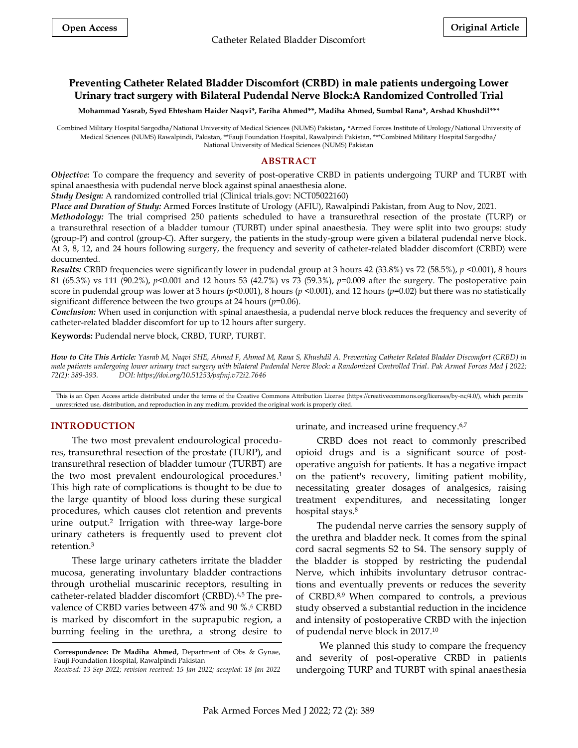# **Preventing Catheter Related Bladder Discomfort (CRBD) in male patients undergoing Lower Urinary tract surgery with Bilateral Pudendal Nerve Block:A Randomized Controlled Trial**

**Mohammad Yasrab, Syed Ehtesham Haider Naqvi\*, Fariha Ahmed\*\*, Madiha Ahmed, Sumbal Rana\*, Arshad Khushdil\*\*\***

Combined Military Hospital Sargodha/National University of Medical Sciences (NUMS) Pakistan, \*Armed Forces Institute of Urology/National University of Medical Sciences (NUMS) Rawalpindi, Pakistan, \*\*Fauji Foundation Hospital, Rawalpindi Pakistan, \*\*\*Combined Military Hospital Sargodha/ National University of Medical Sciences (NUMS) Pakistan

# **ABSTRACT**

*Objective:* To compare the frequency and severity of post-operative CRBD in patients undergoing TURP and TURBT with spinal anaesthesia with pudendal nerve block against spinal anaesthesia alone.

*Study Design:* A randomized controlled trial (Clinical trials.gov: NCT05022160)

*Place and Duration of Study:* Armed Forces Institute of Urology (AFIU), Rawalpindi Pakistan, from Aug to Nov, 2021.

*Methodology:* The trial comprised 250 patients scheduled to have a transurethral resection of the prostate (TURP) or a transurethral resection of a bladder tumour (TURBT) under spinal anaesthesia. They were split into two groups: study (group-P) and control (group-C). After surgery, the patients in the study-group were given a bilateral pudendal nerve block. At 3, 8, 12, and 24 hours following surgery, the frequency and severity of catheter-related bladder discomfort (CRBD) were documented.

*Results:* CRBD frequencies were significantly lower in pudendal group at 3 hours 42 (33.8%) vs 72 (58.5%), *p* <0.001), 8 hours 81 (65.3%) vs 111 (90.2%), *p*<0.001 and 12 hours 53 (42.7%) vs 73 (59.3%), *p*=0.009 after the surgery. The postoperative pain score in pudendal group was lower at 3 hours ( $p$ <0.001), 8 hours ( $p$  <0.001), and 12 hours ( $p$ =0.02) but there was no statistically significant difference between the two groups at 24 hours (*p*=0.06).

*Conclusion:* When used in conjunction with spinal anaesthesia, a pudendal nerve block reduces the frequency and severity of catheter-related bladder discomfort for up to 12 hours after surgery.

**Keywords:** Pudendal nerve block, CRBD, TURP, TURBT.

*How to Cite This Article: Yasrab M, Naqvi SHE, Ahmed F, Ahmed M, Rana S, Khushdil A. Preventing Catheter Related Bladder Discomfort (CRBD) in male patients undergoing lower urinary tract surgery with bilateral Pudendal Nerve Block: a Randomized Controlled Trial. Pak Armed Forces Med J 2022; 72(2): 389-393. DOI: https://doi.org/10.51253/pafmj.v72i2.7646*

This is an Open Access article distributed under the terms of the Creative Commons Attribution License (https://creativecommons.org/licenses/by-nc/4.0/), which permits unrestricted use, distribution, and reproduction in any medium, provided the original work is properly cited.

## **INTRODUCTION**

The two most prevalent endourological procedures, transurethral resection of the prostate (TURP), and transurethral resection of bladder tumour (TURBT) are the two most prevalent endourological procedures. 1 This high rate of complications is thought to be due to the large quantity of blood loss during these surgical procedures, which causes clot retention and prevents urine output.<sup>2</sup> Irrigation with three-way large-bore urinary catheters is frequently used to prevent clot retention. 3

These large urinary catheters irritate the bladder mucosa, generating involuntary bladder contractions through urothelial muscarinic receptors, resulting in catheter-related bladder discomfort (CRBD). 4,5 The prevalence of CRBD varies between 47% and 90 %. <sup>6</sup> CRBD is marked by discomfort in the suprapubic region, a burning feeling in the urethra, a strong desire to

urinate, and increased urine frequency. 6,7

CRBD does not react to commonly prescribed opioid drugs and is a significant source of postoperative anguish for patients. It has a negative impact on the patient's recovery, limiting patient mobility, necessitating greater dosages of analgesics, raising treatment expenditures, and necessitating longer hospital stays. 8

The pudendal nerve carries the sensory supply of the urethra and bladder neck. It comes from the spinal cord sacral segments S2 to S4. The sensory supply of the bladder is stopped by restricting the pudendal Nerve, which inhibits involuntary detrusor contractions and eventually prevents or reduces the severity of CRBD. 8,9 When compared to controls, a previous study observed a substantial reduction in the incidence and intensity of postoperative CRBD with the injection of pudendal nerve block in 2017. 10

We planned this study to compare the frequency and severity of post-operative CRBD in patients undergoing TURP and TURBT with spinal anaesthesia

**Correspondence: Dr Madiha Ahmed,** Department of Obs & Gynae, Fauji Foundation Hospital, Rawalpindi Pakistan

*Received: 13 Sep 2022; revision received: 15 Jan 2022; accepted: 18 Jan 2022*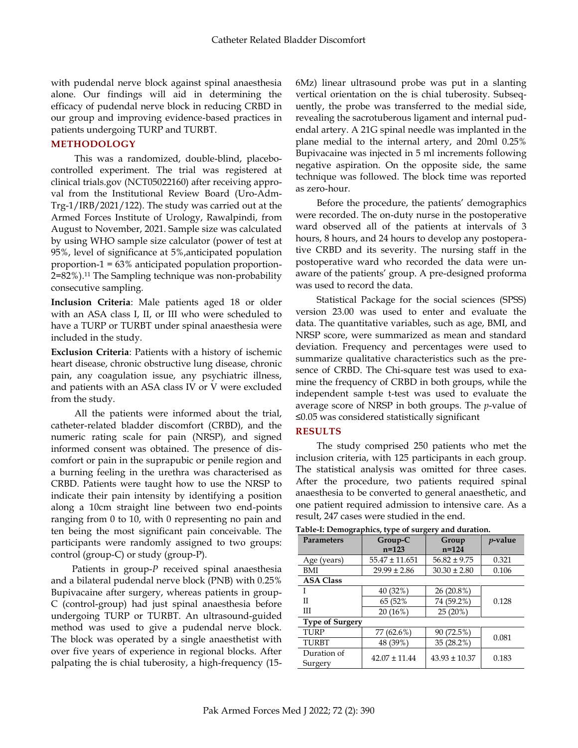with pudendal nerve block against spinal anaesthesia alone. Our findings will aid in determining the efficacy of pudendal nerve block in reducing CRBD in our group and improving evidence-based practices in patients undergoing TURP and TURBT.

### **METHODOLOGY**

This was a randomized, double-blind, placebocontrolled experiment. The trial was registered at clinical trials.gov (NCT05022160) after receiving approval from the Institutional Review Board (Uro-Adm-Trg-1/IRB/2021/122). The study was carried out at the Armed Forces Institute of Urology, Rawalpindi, from August to November, 2021. Sample size was calculated by using WHO sample size calculator (power of test at 95%, level of significance at 5%,anticipated population proportion-1 = 63% anticipated population proportion-2=82%).<sup>11</sup> The Sampling technique was non-probability consecutive sampling.

**Inclusion Criteria**: Male patients aged 18 or older with an ASA class I, II, or III who were scheduled to have a TURP or TURBT under spinal anaesthesia were included in the study.

**Exclusion Criteria**: Patients with a history of ischemic heart disease, chronic obstructive lung disease, chronic pain, any coagulation issue, any psychiatric illness, and patients with an ASA class IV or V were excluded from the study.

All the patients were informed about the trial, catheter-related bladder discomfort (CRBD), and the numeric rating scale for pain (NRSP), and signed informed consent was obtained. The presence of discomfort or pain in the suprapubic or penile region and a burning feeling in the urethra was characterised as CRBD. Patients were taught how to use the NRSP to indicate their pain intensity by identifying a position along a 10cm straight line between two end-points ranging from 0 to 10, with 0 representing no pain and ten being the most significant pain conceivable. The participants were randomly assigned to two groups: control (group-C) or study (group-P).

Patients in group-*P* received spinal anaesthesia and a bilateral pudendal nerve block (PNB) with 0.25% Bupivacaine after surgery, whereas patients in group-C (control-group) had just spinal anaesthesia before undergoing TURP or TURBT. An ultrasound-guided method was used to give a pudendal nerve block. The block was operated by a single anaesthetist with over five years of experience in regional blocks. After palpating the is chial tuberosity, a high-frequency (156Mz) linear ultrasound probe was put in a slanting vertical orientation on the is chial tuberosity. Subsequently, the probe was transferred to the medial side, revealing the sacrotuberous ligament and internal pudendal artery. A 21G spinal needle was implanted in the plane medial to the internal artery, and 20ml 0.25% Bupivacaine was injected in 5 ml increments following negative aspiration. On the opposite side, the same technique was followed. The block time was reported as zero-hour.

Before the procedure, the patients' demographics were recorded. The on-duty nurse in the postoperative ward observed all of the patients at intervals of 3 hours, 8 hours, and 24 hours to develop any postoperative CRBD and its severity. The nursing staff in the postoperative ward who recorded the data were unaware of the patients' group. A pre-designed proforma was used to record the data.

Statistical Package for the social sciences (SPSS) version 23.00 was used to enter and evaluate the data. The quantitative variables, such as age, BMI, and NRSP score, were summarized as mean and standard deviation. Frequency and percentages were used to summarize qualitative characteristics such as the presence of CRBD. The Chi-square test was used to examine the frequency of CRBD in both groups, while the independent sample t-test was used to evaluate the average score of NRSP in both groups. The *p*-value of ≤0.05 was considered statistically significant

#### **RESULTS**

The study comprised 250 patients who met the inclusion criteria, with 125 participants in each group. The statistical analysis was omitted for three cases. After the procedure, two patients required spinal anaesthesia to be converted to general anaesthetic, and one patient required admission to intensive care. As a result, 247 cases were studied in the end.

| <b>Parameters</b>      | Group-C<br>$n = 123$ | Group<br>$n = 124$ | <i>p</i> -value |  |  |  |  |  |  |
|------------------------|----------------------|--------------------|-----------------|--|--|--|--|--|--|
| Age (years)            | $55.47 \pm 11.651$   | $56.82 \pm 9.75$   | 0.321           |  |  |  |  |  |  |
| BMI                    | $29.99 \pm 2.86$     | $30.30 \pm 2.80$   | 0.106           |  |  |  |  |  |  |
| <b>ASA Class</b>       |                      |                    |                 |  |  |  |  |  |  |
|                        | 40 (32%)             | 26 (20.8%)         |                 |  |  |  |  |  |  |
| Н                      | 65 (52%)             | 74 (59.2%)         | 0.128           |  |  |  |  |  |  |
| Ш                      | 20 (16%)             | 25(20%)            |                 |  |  |  |  |  |  |
| <b>Type of Surgery</b> |                      |                    |                 |  |  |  |  |  |  |
| <b>TURP</b>            | 77 (62.6%)           | 90 (72.5%)         | 0.081           |  |  |  |  |  |  |
| <b>TURBT</b>           | 48 (39%)             | 35 (28.2%)         |                 |  |  |  |  |  |  |
| Duration of            | $42.07 \pm 11.44$    | $43.93 \pm 10.37$  | 0.183           |  |  |  |  |  |  |
| Surgery                |                      |                    |                 |  |  |  |  |  |  |

**Table-I: Demographics, type of surgery and duration.**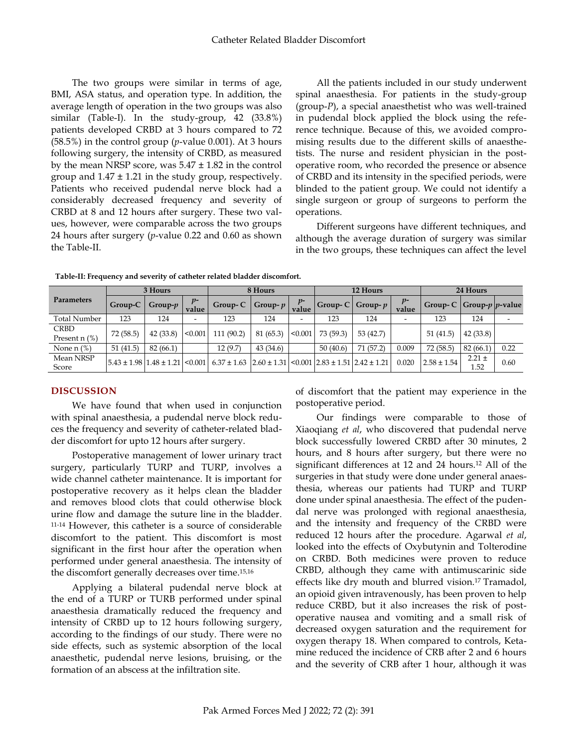The two groups were similar in terms of age, BMI, ASA status, and operation type. In addition, the average length of operation in the two groups was also similar (Table-I). In the study-group, 42 (33.8%) patients developed CRBD at 3 hours compared to 72 (58.5%) in the control group (*p*-value 0.001). At 3 hours following surgery, the intensity of CRBD, as measured by the mean NRSP score, was  $5.47 \pm 1.82$  in the control group and  $1.47 \pm 1.21$  in the study group, respectively. Patients who received pudendal nerve block had a considerably decreased frequency and severity of CRBD at 8 and 12 hours after surgery. These two values, however, were comparable across the two groups 24 hours after surgery (*p*-value 0.22 and 0.60 as shown the Table-II.

All the patients included in our study underwent spinal anaesthesia. For patients in the study-group (group-*P*), a special anaesthetist who was well-trained in pudendal block applied the block using the reference technique. Because of this, we avoided compromising results due to the different skills of anaesthetists. The nurse and resident physician in the postoperative room, who recorded the presence or absence of CRBD and its intensity in the specified periods, were blinded to the patient group. We could not identify a single surgeon or group of surgeons to perform the operations.

Different surgeons have different techniques, and although the average duration of surgery was similar in the two groups, these techniques can affect the level

|                                   | 3 Hours                                              |                 | 8 Hours       |                 | 12 Hours        |                | 24 Hours                                 |                       |               |                            |                    |      |
|-----------------------------------|------------------------------------------------------|-----------------|---------------|-----------------|-----------------|----------------|------------------------------------------|-----------------------|---------------|----------------------------|--------------------|------|
| <b>Parameters</b>                 | Group-C                                              | Group- $p \mid$ | $p-$<br>value | $Group-C$       | Group- $p \mid$ | $v$ -<br>value |                                          | Group- $C$ Group- $p$ | $p-$<br>value | Group-C Group- $p$ p-value |                    |      |
| <b>Total Number</b>               | 123                                                  | 124             | -             | 123             | 124             | -              | 123                                      | 124                   | -             | 123                        | 124                |      |
| <b>CRBD</b><br>Present $n$ $(\%)$ | 72(58.5)                                             | 42(33.8)        | < 0.001       | 111 (90.2)      | 81 (65.3)       | < 0.001        | 73(59.3)                                 | 53(42.7)              |               | 51(41.5)                   | 42(33.8)           |      |
| None $n$ $%$                      | 51(41.5)                                             | 82(66.1)        |               | 12 (9.7)        | 43(34.6)        |                | 50(40.6)                                 | 71(57.2)              | 0.009         | 72(58.5)                   | 82 (66.1)          | 0.22 |
| Mean NRSP<br>Score                | $5.43 \pm 1.98 \mid 1.48 \pm 1.21 \mid < 0.001 \mid$ |                 |               | $6.37 \pm 1.63$ | $2.60 \pm 1.31$ |                | $\leq 0.001$   2.83 ± 1.51   2.42 ± 1.21 |                       | 0.020         | $2.58 \pm 1.54$            | $2.21 \pm$<br>1.52 | 0.60 |

**Table-II: Frequency and severity of catheter related bladder discomfort.**

# **DISCUSSION**

We have found that when used in conjunction with spinal anaesthesia, a pudendal nerve block reduces the frequency and severity of catheter-related bladder discomfort for upto 12 hours after surgery.

Postoperative management of lower urinary tract surgery, particularly TURP and TURP, involves a wide channel catheter maintenance. It is important for postoperative recovery as it helps clean the bladder and removes blood clots that could otherwise block urine flow and damage the suture line in the bladder. 11-14 However, this catheter is a source of considerable discomfort to the patient. This discomfort is most significant in the first hour after the operation when performed under general anaesthesia. The intensity of the discomfort generally decreases over time. 15,16

Applying a bilateral pudendal nerve block at the end of a TURP or TURB performed under spinal anaesthesia dramatically reduced the frequency and intensity of CRBD up to 12 hours following surgery, according to the findings of our study. There were no side effects, such as systemic absorption of the local anaesthetic, pudendal nerve lesions, bruising, or the formation of an abscess at the infiltration site.

of discomfort that the patient may experience in the postoperative period.

Our findings were comparable to those of Xiaoqiang *et al*, who discovered that pudendal nerve block successfully lowered CRBD after 30 minutes, 2 hours, and 8 hours after surgery, but there were no significant differences at 12 and 24 hours.<sup>12</sup> All of the surgeries in that study were done under general anaesthesia, whereas our patients had TURP and TURP done under spinal anaesthesia. The effect of the pudendal nerve was prolonged with regional anaesthesia, and the intensity and frequency of the CRBD were reduced 12 hours after the procedure. Agarwal *et al*, looked into the effects of Oxybutynin and Tolterodine on CRBD. Both medicines were proven to reduce CRBD, although they came with antimuscarinic side effects like dry mouth and blurred vision. <sup>17</sup> Tramadol, an opioid given intravenously, has been proven to help reduce CRBD, but it also increases the risk of postoperative nausea and vomiting and a small risk of decreased oxygen saturation and the requirement for oxygen therapy 18. When compared to controls, Ketamine reduced the incidence of CRB after 2 and 6 hours and the severity of CRB after 1 hour, although it was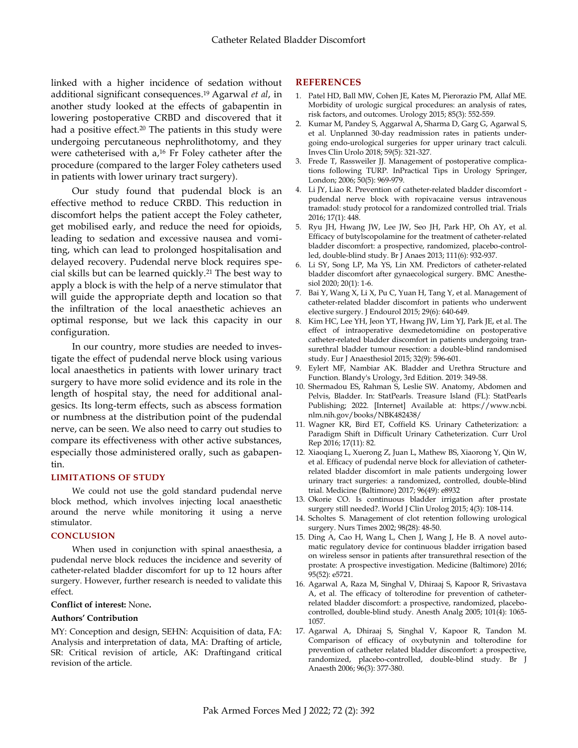linked with a higher incidence of sedation without additional significant consequences. <sup>19</sup> Agarwal *et al*, in another study looked at the effects of gabapentin in lowering postoperative CRBD and discovered that it had a positive effect.<sup>20</sup> The patients in this study were undergoing percutaneous nephrolithotomy, and they were catheterised with a, <sup>16</sup> Fr Foley catheter after the procedure (compared to the larger Foley catheters used in patients with lower urinary tract surgery).

Our study found that pudendal block is an effective method to reduce CRBD. This reduction in discomfort helps the patient accept the Foley catheter, get mobilised early, and reduce the need for opioids, leading to sedation and excessive nausea and vomiting, which can lead to prolonged hospitalisation and delayed recovery. Pudendal nerve block requires special skills but can be learned quickly.<sup>21</sup> The best way to apply a block is with the help of a nerve stimulator that will guide the appropriate depth and location so that the infiltration of the local anaesthetic achieves an optimal response, but we lack this capacity in our configuration.

In our country, more studies are needed to investigate the effect of pudendal nerve block using various local anaesthetics in patients with lower urinary tract surgery to have more solid evidence and its role in the length of hospital stay, the need for additional analgesics. Its long-term effects, such as abscess formation or numbness at the distribution point of the pudendal nerve, can be seen. We also need to carry out studies to compare its effectiveness with other active substances, especially those administered orally, such as gabapentin.

### **LIMITATIONS OF STUDY**

We could not use the gold standard pudendal nerve block method, which involves injecting local anaesthetic around the nerve while monitoring it using a nerve stimulator.

#### **CONCLUSION**

When used in conjunction with spinal anaesthesia, a pudendal nerve block reduces the incidence and severity of catheter-related bladder discomfort for up to 12 hours after surgery. However, further research is needed to validate this effect.

#### **Conflict of interest:** None**.**

### **Authors' Contribution**

MY: Conception and design, SEHN: Acquisition of data, FA: Analysis and interpretation of data, MA: Drafting of article, SR: Critical revision of article, AK: Draftingand critical revision of the article.

#### **REFERENCES**

- 1. Patel HD, Ball MW, Cohen JE, Kates M, Pierorazio PM, Allaf ME. Morbidity of urologic surgical procedures: an analysis of rates, risk factors, and outcomes. Urology 2015; 85(3): 552-559.
- 2. Kumar M, Pandey S, Aggarwal A, Sharma D, Garg G, Agarwal S, et al. Unplanned 30-day readmission rates in patients undergoing endo-urological surgeries for upper urinary tract calculi. Inves Clin Urolo 2018; 59(5): 321-327.
- 3. Frede T, Rassweiler JJ. Management of postoperative complications following TURP. InPractical Tips in Urology Springer, London; 2006; 50(5): 969-979.
- 4. Li JY, Liao R. Prevention of catheter-related bladder discomfort pudendal nerve block with ropivacaine versus intravenous tramadol: study protocol for a randomized controlled trial. Trials 2016; 17(1): 448.
- 5. Ryu JH, Hwang JW, Lee JW, Seo JH, Park HP, Oh AY, et al. Efficacy of butylscopolamine for the treatment of catheter-related bladder discomfort: a prospective, randomized, placebo-controlled, double-blind study. Br J Anaes 2013; 111(6): 932-937.
- 6. Li SY, Song LP, Ma YS, Lin XM. Predictors of catheter-related bladder discomfort after gynaecological surgery. BMC Anesthesiol 2020; 20(1): 1-6.
- 7. Bai Y, Wang X, Li X, Pu C, Yuan H, Tang Y, et al. Management of catheter-related bladder discomfort in patients who underwent elective surgery. J Endourol 2015; 29(6): 640-649.
- 8. Kim HC, Lee YH, Jeon YT, Hwang JW, Lim YJ, Park JE, et al. The effect of intraoperative dexmedetomidine on postoperative catheter-related bladder discomfort in patients undergoing transurethral bladder tumour resection: a double-blind randomised study. Eur J Anaesthesiol 2015; 32(9): 596-601.
- 9. Eylert MF, Nambiar AK. Bladder and Urethra Structure and Function. Blandy's Urology, 3rd Edition. 2019: 349-58.
- 10. Shermadou ES, Rahman S, Leslie SW. Anatomy, Abdomen and Pelvis, Bladder. In: StatPearls. Treasure Island (FL): StatPearls Publishing; 2022. [Internet] Available at: https://www.ncbi. nlm.nih.gov/books/NBK482438/
- 11. Wagner KR, Bird ET, Coffield KS. Urinary Catheterization: a Paradigm Shift in Difficult Urinary Catheterization. Curr Urol Rep 2016; 17(11): 82.
- 12. Xiaoqiang L, Xuerong Z, Juan L, Mathew BS, Xiaorong Y, Qin W, et al. Efficacy of pudendal nerve block for alleviation of catheterrelated bladder discomfort in male patients undergoing lower urinary tract surgeries: a randomized, controlled, double-blind trial. Medicine (Baltimore) 2017; 96(49): e8932
- 13. Okorie CO. Is continuous bladder irrigation after prostate surgery still needed?. World J Clin Urolog 2015; 4(3): 108-114.
- 14. Scholtes S. Management of clot retention following urological surgery. Nurs Times 2002; 98(28): 48-50.
- 15. Ding A, Cao H, Wang L, Chen J, Wang J, He B. A novel automatic regulatory device for continuous bladder irrigation based on wireless sensor in patients after transurethral resection of the prostate: A prospective investigation. Medicine (Baltimore) 2016; 95(52): e5721.
- 16. Agarwal A, Raza M, Singhal V, Dhiraaj S, Kapoor R, Srivastava A, et al. The efficacy of tolterodine for prevention of catheterrelated bladder discomfort: a prospective, randomized, placebocontrolled, double-blind study. Anesth Analg 2005; 101(4): 1065- 1057.
- 17. Agarwal A, Dhiraaj S, Singhal V, Kapoor R, Tandon M. Comparison of efficacy of oxybutynin and tolterodine for prevention of catheter related bladder discomfort: a prospective, randomized, placebo-controlled, double-blind study. Br J Anaesth 2006; 96(3): 377-380.